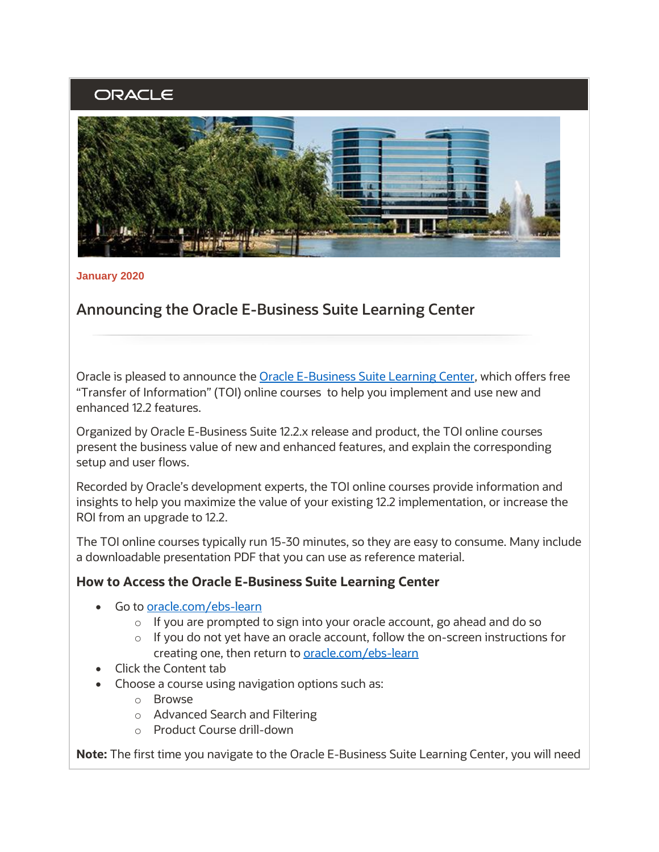## ORACLE



**January 2020** 

## **Announcing the Oracle E-Business Suite Learning Center**

Oracle is pleased to announce the <u>Oracle E-Business Suite Learning Center</u>, which offers free "Transfer of Information" (TOI) online courses to help you implement and use new and enhanced 12.2 features.

 Organized by Oracle E-Business Suite 12.2.x release and product, the TOI online courses present the business value of new and enhanced features, and explain the corresponding setup and user flows.

 Recorded by Oracle's development experts, the TOI online courses provide information and insights to help you maximize the value of your existing 12.2 implementation, or increase the ROI from an upgrade to 12.2.

 The TOI online courses typically run 15-30 minutes, so they are easy to consume. Many include a downloadable presentation PDF that you can use as reference material.

## **How to Access the Oracle E-Business Suite Learning Center**

- Go to [oracle.com/ebs-learn](https://oracle.com/ebs-learn) 
	- o If you are prompted to sign into your oracle account, go ahead and do so
	- $\circ$  If you do not yet have an oracle account, follow the on-screen instructions for creating one, then return to **oracle.com/ebs-learn**
- Click the Content tab
- • Choose a course using navigation options such as:
	- o Browse
	- o Advanced Search and Filtering
	- o Product Course drill-down

**Note:** The first time you navigate to the Oracle E-Business Suite Learning Center, you will need